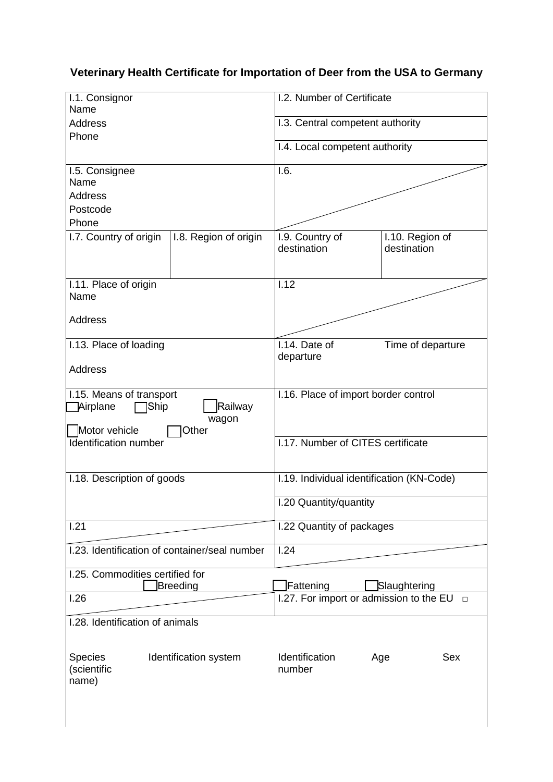# **Veterinary Health Certificate for Importation of Deer from the USA to Germany**

| I.1. Consignor<br>Name                        |                       | I.2. Number of Certificate                |                                                |
|-----------------------------------------------|-----------------------|-------------------------------------------|------------------------------------------------|
| <b>Address</b>                                |                       | I.3. Central competent authority          |                                                |
| Phone                                         |                       |                                           |                                                |
|                                               |                       | I.4. Local competent authority            |                                                |
| I.5. Consignee                                |                       | 1.6.                                      |                                                |
| Name                                          |                       |                                           |                                                |
| <b>Address</b>                                |                       |                                           |                                                |
| Postcode                                      |                       |                                           |                                                |
| Phone                                         |                       |                                           |                                                |
| I.7. Country of origin                        | I.8. Region of origin | I.9. Country of                           | I.10. Region of                                |
|                                               |                       | destination                               | destination                                    |
|                                               |                       |                                           |                                                |
|                                               |                       |                                           |                                                |
| I.11. Place of origin<br>Name                 |                       | 1.12                                      |                                                |
|                                               |                       |                                           |                                                |
| <b>Address</b>                                |                       |                                           |                                                |
|                                               |                       |                                           |                                                |
| I.13. Place of loading                        |                       | I.14. Date of                             | Time of departure                              |
|                                               |                       | departure                                 |                                                |
| <b>Address</b>                                |                       |                                           |                                                |
|                                               |                       |                                           |                                                |
| I.15. Means of transport                      |                       | I.16. Place of import border control      |                                                |
| Railway<br><b>Airplane</b><br>Ship            |                       |                                           |                                                |
| wagon                                         |                       |                                           |                                                |
| Motor vehicle<br>Other                        |                       |                                           |                                                |
| Identification number                         |                       | I.17. Number of CITES certificate         |                                                |
|                                               |                       |                                           |                                                |
|                                               |                       |                                           |                                                |
| I.18. Description of goods                    |                       | I.19. Individual identification (KN-Code) |                                                |
|                                               |                       |                                           |                                                |
|                                               |                       | I.20 Quantity/quantity                    |                                                |
| 1.21                                          |                       | I.22 Quantity of packages                 |                                                |
|                                               |                       |                                           |                                                |
| I.23. Identification of container/seal number |                       | 1.24                                      |                                                |
|                                               |                       |                                           |                                                |
| I.25. Commodities certified for               |                       |                                           |                                                |
|                                               | Breeding              | Fattening                                 | Slaughtering                                   |
| 1.26                                          |                       |                                           | 1.27. For import or admission to the EU $\Box$ |
|                                               |                       |                                           |                                                |
| I.28. Identification of animals               |                       |                                           |                                                |
|                                               |                       |                                           |                                                |
| <b>Species</b>                                | Identification system | Identification                            | <b>Sex</b><br>Age                              |
| (scientific                                   |                       | number                                    |                                                |
| name)                                         |                       |                                           |                                                |
|                                               |                       |                                           |                                                |
|                                               |                       |                                           |                                                |
|                                               |                       |                                           |                                                |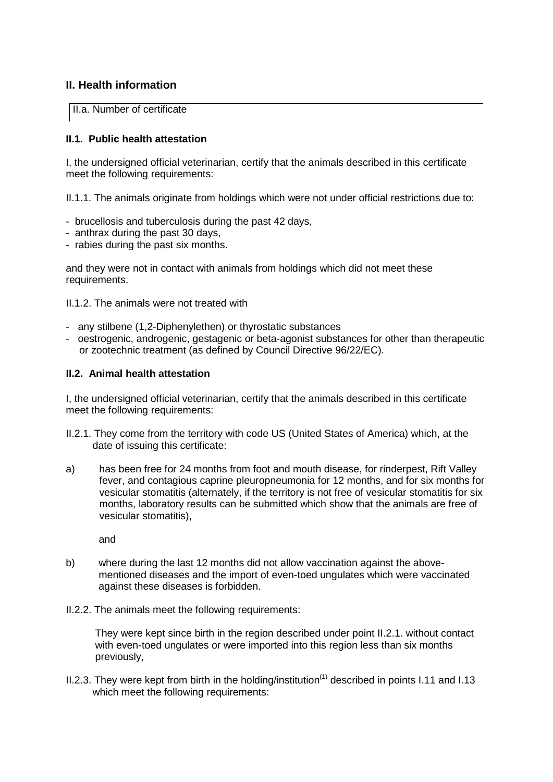## **II. Health information**

II.a. Number of certificate

#### **II.1. Public health attestation**

I, the undersigned official veterinarian, certify that the animals described in this certificate meet the following requirements:

II.1.1. The animals originate from holdings which were not under official restrictions due to:

- brucellosis and tuberculosis during the past 42 days,
- anthrax during the past 30 days,
- rabies during the past six months.

and they were not in contact with animals from holdings which did not meet these requirements.

II.1.2. The animals were not treated with

- any stilbene (1,2-Diphenylethen) or thyrostatic substances
- oestrogenic, androgenic, gestagenic or beta-agonist substances for other than therapeutic or zootechnic treatment (as defined by Council Directive 96/22/EC).

## **II.2. Animal health attestation**

I, the undersigned official veterinarian, certify that the animals described in this certificate meet the following requirements:

- II.2.1. They come from the territory with code US (United States of America) which, at the date of issuing this certificate:
- a) has been free for 24 months from foot and mouth disease, for rinderpest, Rift Valley fever, and contagious caprine pleuropneumonia for 12 months, and for six months for vesicular stomatitis (alternately, if the territory is not free of vesicular stomatitis for six months, laboratory results can be submitted which show that the animals are free of vesicular stomatitis),

and

- b) where during the last 12 months did not allow vaccination against the abovementioned diseases and the import of even-toed ungulates which were vaccinated against these diseases is forbidden.
- II.2.2. The animals meet the following requirements:

They were kept since birth in the region described under point II.2.1. without contact with even-toed ungulates or were imported into this region less than six months previously,

II.2.3. They were kept from birth in the holding/institution<sup> $(1)$ </sup> described in points I.11 and I.13 which meet the following requirements: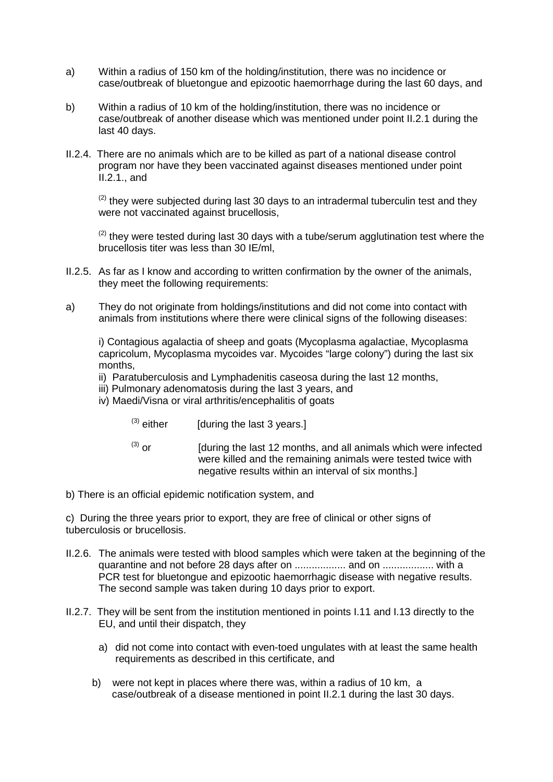- a) Within a radius of 150 km of the holding/institution, there was no incidence or case/outbreak of bluetongue and epizootic haemorrhage during the last 60 days, and
- b) Within a radius of 10 km of the holding/institution, there was no incidence or case/outbreak of another disease which was mentioned under point II.2.1 during the last 40 days.
- II.2.4. There are no animals which are to be killed as part of a national disease control program nor have they been vaccinated against diseases mentioned under point II.2.1., and

 $(2)$  they were subjected during last 30 days to an intradermal tuberculin test and they were not vaccinated against brucellosis,

 $(2)$  they were tested during last 30 days with a tube/serum agglutination test where the brucellosis titer was less than 30 IE/ml,

- II.2.5. As far as I know and according to written confirmation by the owner of the animals, they meet the following requirements:
- a) They do not originate from holdings/institutions and did not come into contact with animals from institutions where there were clinical signs of the following diseases:

i) Contagious agalactia of sheep and goats (Mycoplasma agalactiae, Mycoplasma capricolum, Mycoplasma mycoides var. Mycoides "large colony") during the last six months,

- ii) Paratuberculosis and Lymphadenitis caseosa during the last 12 months,
- iii) Pulmonary adenomatosis during the last 3 years, and
- iv) Maedi/Visna or viral arthritis/encephalitis of goats
	- $(3)$  either [during the last 3 years.]
	- $^{(3)}$  or [during the last 12 months, and all animals which were infected were killed and the remaining animals were tested twice with negative results within an interval of six months.]
- b) There is an official epidemic notification system, and

 c) During the three years prior to export, they are free of clinical or other signs of tuberculosis or brucellosis.

- II.2.6. The animals were tested with blood samples which were taken at the beginning of the quarantine and not before 28 days after on .................. and on .................. with a PCR test for bluetongue and epizootic haemorrhagic disease with negative results. The second sample was taken during 10 days prior to export.
- II.2.7. They will be sent from the institution mentioned in points I.11 and I.13 directly to the EU, and until their dispatch, they
	- a) did not come into contact with even-toed ungulates with at least the same health requirements as described in this certificate, and
	- b) were not kept in places where there was, within a radius of 10 km, a case/outbreak of a disease mentioned in point II.2.1 during the last 30 days.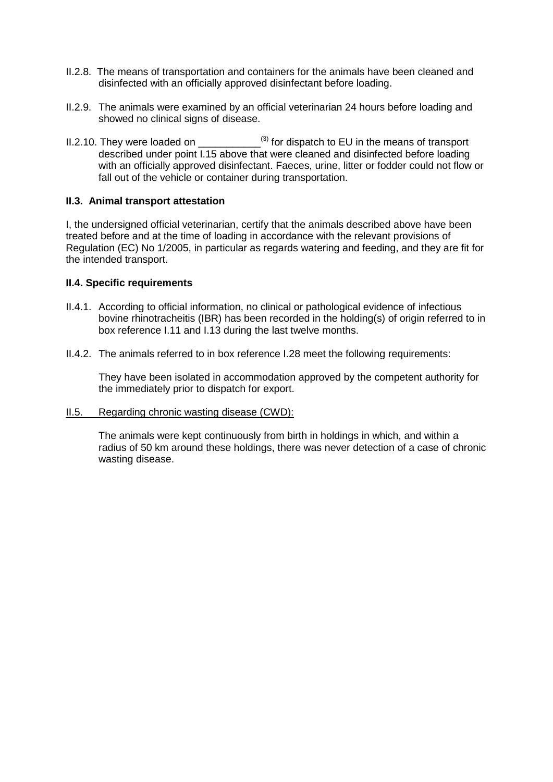- II.2.8. The means of transportation and containers for the animals have been cleaned and disinfected with an officially approved disinfectant before loading.
- II.2.9. The animals were examined by an official veterinarian 24 hours before loading and showed no clinical signs of disease.
- II.2.10. They were loaded on  $^{(3)}$  for dispatch to EU in the means of transport described under point I.15 above that were cleaned and disinfected before loading with an officially approved disinfectant. Faeces, urine, litter or fodder could not flow or fall out of the vehicle or container during transportation.

#### **II.3. Animal transport attestation**

I, the undersigned official veterinarian, certify that the animals described above have been treated before and at the time of loading in accordance with the relevant provisions of Regulation (EC) No 1/2005, in particular as regards watering and feeding, and they are fit for the intended transport.

#### **II.4. Specific requirements**

- II.4.1. According to official information, no clinical or pathological evidence of infectious bovine rhinotracheitis (IBR) has been recorded in the holding(s) of origin referred to in box reference I.11 and I.13 during the last twelve months.
- II.4.2. The animals referred to in box reference I.28 meet the following requirements:

They have been isolated in accommodation approved by the competent authority for the immediately prior to dispatch for export.

II.5. Regarding chronic wasting disease (CWD):

The animals were kept continuously from birth in holdings in which, and within a radius of 50 km around these holdings, there was never detection of a case of chronic wasting disease.